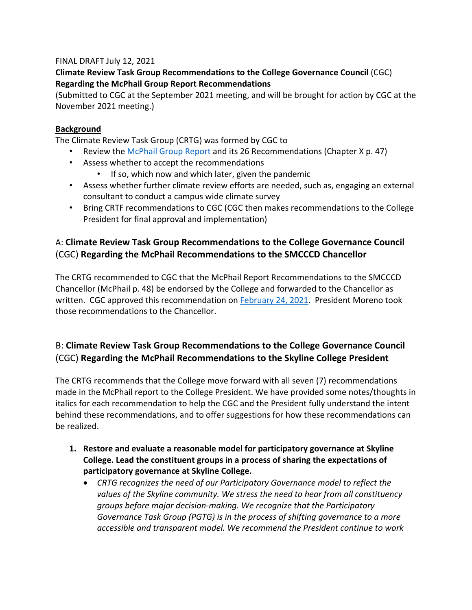### FINAL DRAFT July 12, 2021

### **Climate Review Task Group Recommendations to the College Governance Council** (CGC) **Regarding the McPhail Group Report Recommendations**

(Submitted to CGC at the September 2021 meeting, and will be brought for action by CGC at the November 2021 meeting.)

### **Background**

The Climate Review Task Group (CRTG) was formed by CGC to

- Review the [McPhail Group Report](https://www.skylinecollege.edu/collegegovernancecouncil/assets/documents/agendasminutes/2020_2021/agendas/2020-1023%20McPhail%20Report%20w%20Moreno%20Letter%20.pdf) and its 26 Recommendations (Chapter X p. 47)
- Assess whether to accept the recommendations
	- If so, which now and which later, given the pandemic
- Assess whether further climate review efforts are needed, such as, engaging an external consultant to conduct a campus wide climate survey
- Bring CRTF recommendations to CGC (CGC then makes recommendations to the College President for final approval and implementation)

## A: **Climate Review Task Group Recommendations to the College Governance Council** (CGC) **Regarding the McPhail Recommendations to the SMCCCD Chancellor**

The CRTG recommended to CGC that the McPhail Report Recommendations to the SMCCCD Chancellor (McPhail p. 48) be endorsed by the College and forwarded to the Chancellor as written. CGC approved this recommendation on **February 24, 2021</u>**. President Moreno took those recommendations to the Chancellor.

# B: **Climate Review Task Group Recommendations to the College Governance Council** (CGC) **Regarding the McPhail Recommendations to the Skyline College President**

The CRTG recommends that the College move forward with all seven (7) recommendations made in the McPhail report to the College President. We have provided some notes/thoughts in italics for each recommendation to help the CGC and the President fully understand the intent behind these recommendations, and to offer suggestions for how these recommendations can be realized.

- **1. Restore and evaluate a reasonable model for participatory governance at Skyline College. Lead the constituent groups in a process of sharing the expectations of participatory governance at Skyline College.**
	- *CRTG recognizes the need of our Participatory Governance model to reflect the values of the Skyline community. We stress the need to hear from all constituency groups before major decision-making. We recognize that the Participatory Governance Task Group (PGTG) is in the process of shifting governance to a more accessible and transparent model. We recommend the President continue to work*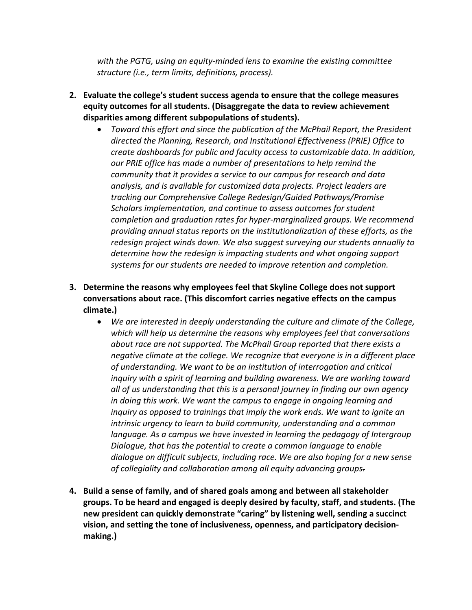*with the PGTG, using an equity-minded lens to examine the existing committee structure (i.e., term limits, definitions, process).*

- **2. Evaluate the college's student success agenda to ensure that the college measures equity outcomes for all students. (Disaggregate the data to review achievement disparities among different subpopulations of students).**
	- *Toward this effort and since the publication of the McPhail Report, the President directed the Planning, Research, and Institutional Effectiveness (PRIE) Office to create dashboards for public and faculty access to customizable data. In addition, our PRIE office has made a number of presentations to help remind the community that it provides a service to our campus for research and data analysis, and is available for customized data projects. Project leaders are tracking our Comprehensive College Redesign/Guided Pathways/Promise Scholars implementation, and continue to assess outcomes for student completion and graduation rates for hyper-marginalized groups. We recommend providing annual status reports on the institutionalization of these efforts, as the redesign project winds down. We also suggest surveying our students annually to determine how the redesign is impacting students and what ongoing support systems for our students are needed to improve retention and completion.*
- **3. Determine the reasons why employees feel that Skyline College does not support conversations about race. (This discomfort carries negative effects on the campus climate.)**
	- *We are interested in deeply understanding the culture and climate of the College, which will help us determine the reasons why employees feel that conversations about race are not supported. The McPhail Group reported that there exists a negative climate at the college. We recognize that everyone is in a different place of understanding. We want to be an institution of interrogation and critical inquiry with a spirit of learning and building awareness. We are working toward all of us understanding that this is a personal journey in finding our own agency in doing this work. We want the campus to engage in ongoing learning and inquiry as opposed to trainings that imply the work ends. We want to ignite an intrinsic urgency to learn to build community, understanding and a common language. As a campus we have invested in learning the pedagogy of Intergroup Dialogue, that has the potential to create a common language to enable dialogue on difficult subjects, including race. We are also hoping for a new sense of collegiality and collaboration among all equity advancing groups.*
- **4. Build a sense of family, and of shared goals among and between all stakeholder groups. To be heard and engaged is deeply desired by faculty, staff, and students. (The new president can quickly demonstrate "caring" by listening well, sending a succinct vision, and setting the tone of inclusiveness, openness, and participatory decisionmaking.)**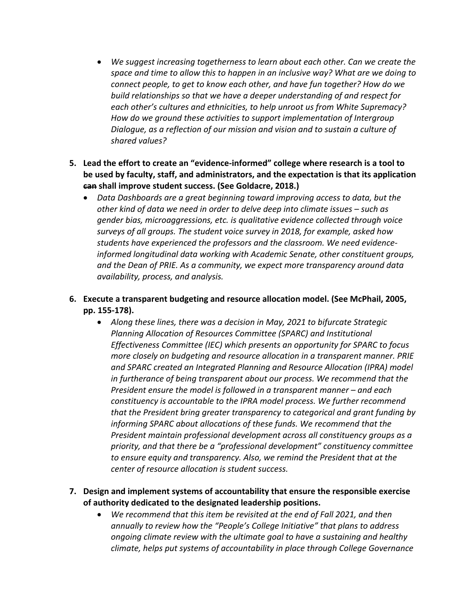- *We suggest increasing togetherness to learn about each other. Can we create the space and time to allow this to happen in an inclusive way? What are we doing to connect people, to get to know each other, and have fun together? How do we build relationships so that we have a deeper understanding of and respect for each other's cultures and ethnicities, to help unroot us from White Supremacy? How do we ground these activities to support implementation of Intergroup Dialogue, as a reflection of our mission and vision and to sustain a culture of shared values?*
- **5. Lead the effort to create an "evidence-informed" college where research is a tool to be used by faculty, staff, and administrators, and the expectation is that its application can shall improve student success. (See Goldacre, 2018.)**
	- *Data Dashboards are a great beginning toward improving access to data, but the other kind of data we need in order to delve deep into climate issues – such as gender bias, microaggressions, etc. is qualitative evidence collected through voice surveys of all groups. The student voice survey in 2018, for example, asked how students have experienced the professors and the classroom. We need evidenceinformed longitudinal data working with Academic Senate, other constituent groups, and the Dean of PRIE. As a community, we expect more transparency around data availability, process, and analysis.*
- **6. Execute a transparent budgeting and resource allocation model. (See McPhail, 2005, pp. 155-178).**
	- *Along these lines, there was a decision in May, 2021 to bifurcate Strategic Planning Allocation of Resources Committee (SPARC) and Institutional Effectiveness Committee (IEC) which presents an opportunity for SPARC to focus more closely on budgeting and resource allocation in a transparent manner. PRIE and SPARC created an Integrated Planning and Resource Allocation (IPRA) model in furtherance of being transparent about our process. We recommend that the President ensure the model is followed in a transparent manner – and each constituency is accountable to the IPRA model process. We further recommend that the President bring greater transparency to categorical and grant funding by informing SPARC about allocations of these funds. We recommend that the President maintain professional development across all constituency groups as a priority, and that there be a "professional development" constituency committee to ensure equity and transparency. Also, we remind the President that at the center of resource allocation is student success.*
- **7. Design and implement systems of accountability that ensure the responsible exercise of authority dedicated to the designated leadership positions.**
	- *We recommend that this item be revisited at the end of Fall 2021, and then annually to review how the "People's College Initiative" that plans to address ongoing climate review with the ultimate goal to have a sustaining and healthy climate, helps put systems of accountability in place through College Governance*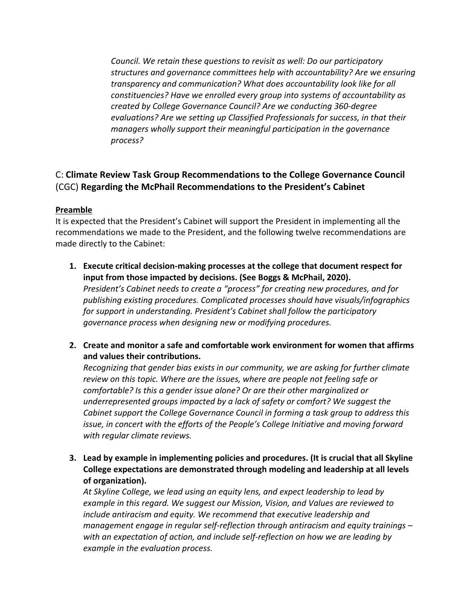*Council. We retain these questions to revisit as well: Do our participatory structures and governance committees help with accountability? Are we ensuring transparency and communication? What does accountability look like for all constituencies? Have we enrolled every group into systems of accountability as created by College Governance Council? Are we conducting 360-degree evaluations? Are we setting up Classified Professionals for success, in that their managers wholly support their meaningful participation in the governance process?*

## C: **Climate Review Task Group Recommendations to the College Governance Council** (CGC) **Regarding the McPhail Recommendations to the President's Cabinet**

#### **Preamble**

It is expected that the President's Cabinet will support the President in implementing all the recommendations we made to the President, and the following twelve recommendations are made directly to the Cabinet:

- **1. Execute critical decision-making processes at the college that document respect for input from those impacted by decisions. (See Boggs & McPhail, 2020).** *President's Cabinet needs to create a "process" for creating new procedures, and for publishing existing procedures. Complicated processes should have visuals/infographics for support in understanding. President's Cabinet shall follow the participatory governance process when designing new or modifying procedures.*
- **2. Create and monitor a safe and comfortable work environment for women that affirms and values their contributions.**

*Recognizing that gender bias exists in our community, we are asking for further climate review on this topic. Where are the issues, where are people not feeling safe or comfortable? Is this a gender issue alone? Or are their other marginalized or underrepresented groups impacted by a lack of safety or comfort? We suggest the Cabinet support the College Governance Council in forming a task group to address this issue, in concert with the efforts of the People's College Initiative and moving forward with regular climate reviews.*

**3. Lead by example in implementing policies and procedures. (It is crucial that all Skyline College expectations are demonstrated through modeling and leadership at all levels of organization).**

*At Skyline College, we lead using an equity lens, and expect leadership to lead by example in this regard. We suggest our Mission, Vision, and Values are reviewed to include antiracism and equity. We recommend that executive leadership and management engage in regular self-reflection through antiracism and equity trainings – with an expectation of action, and include self-reflection on how we are leading by example in the evaluation process.*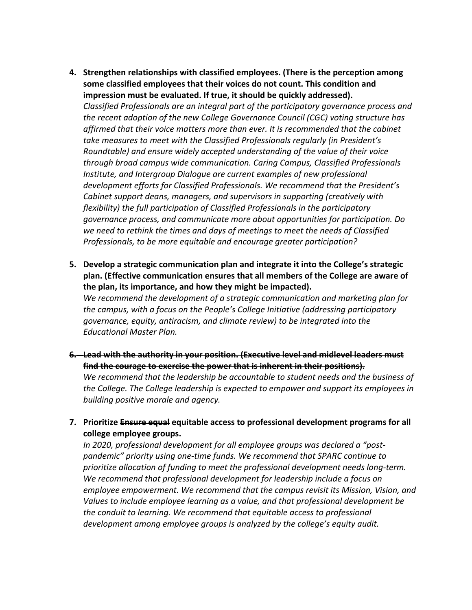- **4. Strengthen relationships with classified employees. (There is the perception among some classified employees that their voices do not count. This condition and impression must be evaluated. If true, it should be quickly addressed).** *Classified Professionals are an integral part of the participatory governance process and the recent adoption of the new College Governance Council (CGC) voting structure has affirmed that their voice matters more than ever. It is recommended that the cabinet take measures to meet with the Classified Professionals regularly (in President's Roundtable) and ensure widely accepted understanding of the value of their voice through broad campus wide communication. Caring Campus, Classified Professionals Institute, and Intergroup Dialogue are current examples of new professional development efforts for Classified Professionals. We recommend that the President's Cabinet support deans, managers, and supervisors in supporting (creatively with flexibility) the full participation of Classified Professionals in the participatory governance process, and communicate more about opportunities for participation. Do we need to rethink the times and days of meetings to meet the needs of Classified Professionals, to be more equitable and encourage greater participation?*
- **5. Develop a strategic communication plan and integrate it into the College's strategic plan. (Effective communication ensures that all members of the College are aware of the plan, its importance, and how they might be impacted).**

*We recommend the development of a strategic communication and marketing plan for the campus, with a focus on the People's College Initiative (addressing participatory governance, equity, antiracism, and climate review) to be integrated into the Educational Master Plan.*

- **6. Lead with the authority in your position. (Executive level and midlevel leaders must find the courage to exercise the power that is inherent in their positions).** *We recommend that the leadership be accountable to student needs and the business of the College. The College leadership is expected to empower and support its employees in building positive morale and agency.*
- **7. Prioritize Ensure equal equitable access to professional development programs for all college employee groups.**

*In 2020, professional development for all employee groups was declared a "postpandemic" priority using one-time funds. We recommend that SPARC continue to prioritize allocation of funding to meet the professional development needs long-term. We recommend that professional development for leadership include a focus on employee empowerment. We recommend that the campus revisit its Mission, Vision, and Values to include employee learning as a value, and that professional development be the conduit to learning. We recommend that equitable access to professional development among employee groups is analyzed by the college's equity audit.*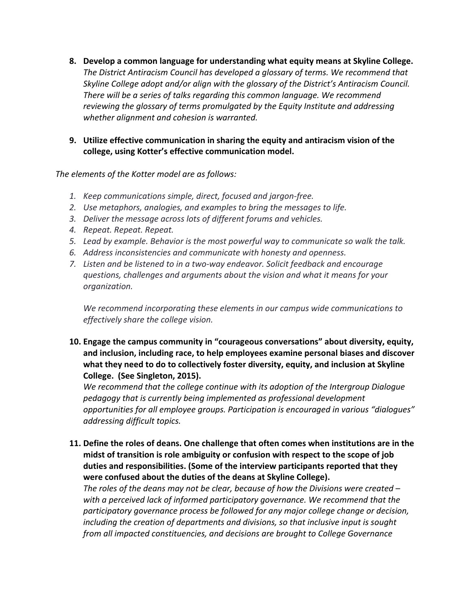- **8. Develop a common language for understanding what equity means at Skyline College.** *The District Antiracism Council has developed a glossary of terms. We recommend that Skyline College adopt and/or align with the glossary of the District's Antiracism Council. There will be a series of talks regarding this common language. We recommend reviewing the glossary of terms promulgated by the Equity Institute and addressing whether alignment and cohesion is warranted.*
- **9. Utilize effective communication in sharing the equity and antiracism vision of the college, using Kotter's effective communication model.**

*The elements of the Kotter model are as follows:*

- *1. Keep communications simple, direct, focused and jargon-free.*
- *2. Use metaphors, analogies, and examples to bring the messages to life.*
- *3. Deliver the message across lots of different forums and vehicles.*
- *4. Repeat. Repeat. Repeat.*
- *5. Lead by example. Behavior is the most powerful way to communicate so walk the talk.*
- *6. Address inconsistencies and communicate with honesty and openness.*
- *7. Listen and be listened to in a two-way endeavor. Solicit feedback and encourage questions, challenges and arguments about the vision and what it means for your organization.*

*We recommend incorporating these elements in our campus wide communications to effectively share the college vision.*

**10. Engage the campus community in "courageous conversations" about diversity, equity, and inclusion, including race, to help employees examine personal biases and discover what they need to do to collectively foster diversity, equity, and inclusion at Skyline College. (See Singleton, 2015).** 

*We recommend that the college continue with its adoption of the Intergroup Dialogue pedagogy that is currently being implemented as professional development opportunities for all employee groups. Participation is encouraged in various "dialogues" addressing difficult topics.*

**11. Define the roles of deans. One challenge that often comes when institutions are in the midst of transition is role ambiguity or confusion with respect to the scope of job duties and responsibilities. (Some of the interview participants reported that they were confused about the duties of the deans at Skyline College).**

*The roles of the deans may not be clear, because of how the Divisions were created – with a perceived lack of informed participatory governance. We recommend that the participatory governance process be followed for any major college change or decision, including the creation of departments and divisions, so that inclusive input is sought from all impacted constituencies, and decisions are brought to College Governance*